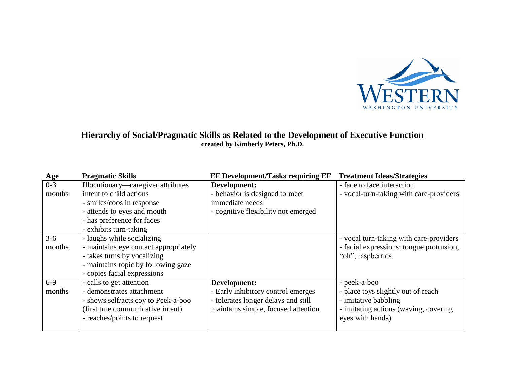

## **Hierarchy of Social/Pragmatic Skills as Related to the Development of Executive Function created by Kimberly Peters, Ph.D.**

| <b>Age</b> | <b>Pragmatic Skills</b>               | <b>EF Development/Tasks requiring EF</b> | <b>Treatment Ideas/Strategies</b>        |
|------------|---------------------------------------|------------------------------------------|------------------------------------------|
| $0 - 3$    | Illocutionary—caregiver attributes    | Development:                             | - face to face interaction               |
| months     | intent to child actions               | - behavior is designed to meet           | - vocal-turn-taking with care-providers  |
|            | - smiles/coos in response             | immediate needs                          |                                          |
|            | - attends to eyes and mouth           | - cognitive flexibility not emerged      |                                          |
|            | - has preference for faces            |                                          |                                          |
|            | - exhibits turn-taking                |                                          |                                          |
| $3-6$      | - laughs while socializing            |                                          | - vocal turn-taking with care-providers  |
| months     | - maintains eye contact appropriately |                                          | - facial expressions: tongue protrusion, |
|            | - takes turns by vocalizing           |                                          | "oh", raspberries.                       |
|            | - maintains topic by following gaze   |                                          |                                          |
|            | - copies facial expressions           |                                          |                                          |
| $6-9$      | - calls to get attention              | Development:                             | - peek-a-boo                             |
| months     | - demonstrates attachment             | - Early inhibitory control emerges       | - place toys slightly out of reach       |
|            | - shows self/acts coy to Peek-a-boo   | - tolerates longer delays and still      | - imitative babbling                     |
|            | (first true communicative intent)     | maintains simple, focused attention      | - imitating actions (waving, covering    |
|            | - reaches/points to request           |                                          | eyes with hands).                        |
|            |                                       |                                          |                                          |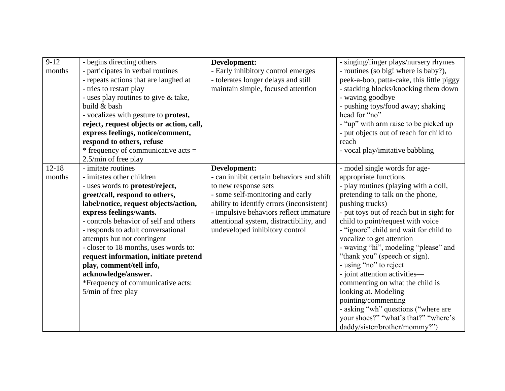| $9-12$    | - begins directing others                    | Development:                              | - singing/finger plays/nursery rhymes     |
|-----------|----------------------------------------------|-------------------------------------------|-------------------------------------------|
| months    | - participates in verbal routines            | - Early inhibitory control emerges        | - routines (so big! where is baby?),      |
|           | - repeats actions that are laughed at        | - tolerates longer delays and still       | peek-a-boo, patta-cake, this little piggy |
|           | - tries to restart play                      | maintain simple, focused attention        | - stacking blocks/knocking them down      |
|           | - uses play routines to give & take,         |                                           | - waving goodbye                          |
|           | build & bash                                 |                                           | - pushing toys/food away; shaking         |
|           | - vocalizes with gesture to <b>protest</b> , |                                           | head for "no"                             |
|           | reject, request objects or action, call,     |                                           | - "up" with arm raise to be picked up     |
|           | express feelings, notice/comment,            |                                           | - put objects out of reach for child to   |
|           | respond to others, refuse                    |                                           | reach                                     |
|           | * frequency of communicative acts $=$        |                                           | - vocal play/imitative babbling           |
|           | 2.5/min of free play                         |                                           |                                           |
| $12 - 18$ | - imitate routines                           | Development:                              | - model single words for age-             |
| months    | - imitates other children                    | - can inhibit certain behaviors and shift | appropriate functions                     |
|           | - uses words to protest/reject,              | to new response sets                      | - play routines (playing with a doll,     |
|           | greet/call, respond to others,               | - some self-monitoring and early          | pretending to talk on the phone,          |
|           | label/notice, request objects/action,        | ability to identify errors (inconsistent) | pushing trucks)                           |
|           | express feelings/wants.                      | - impulsive behaviors reflect immature    | - put toys out of reach but in sight for  |
|           | - controls behavior of self and others       | attentional system, distractibility, and  | child to point/request with voice         |
|           | - responds to adult conversational           | undeveloped inhibitory control            | - "ignore" child and wait for child to    |
|           | attempts but not contingent                  |                                           | vocalize to get attention                 |
|           | - closer to 18 months, uses words to:        |                                           | - waving "hi", modeling "please" and      |
|           | request information, initiate pretend        |                                           | "thank you" (speech or sign).             |
|           | play, comment/tell info,                     |                                           | - using "no" to reject                    |
|           | acknowledge/answer.                          |                                           | - joint attention activities—             |
|           | *Frequency of communicative acts:            |                                           | commenting on what the child is           |
|           | 5/min of free play                           |                                           | looking at. Modeling                      |
|           |                                              |                                           | pointing/commenting                       |
|           |                                              |                                           | - asking "wh" questions ("where are       |
|           |                                              |                                           | your shoes?" "what's that?" "where's      |
|           |                                              |                                           | daddy/sister/brother/mommy?")             |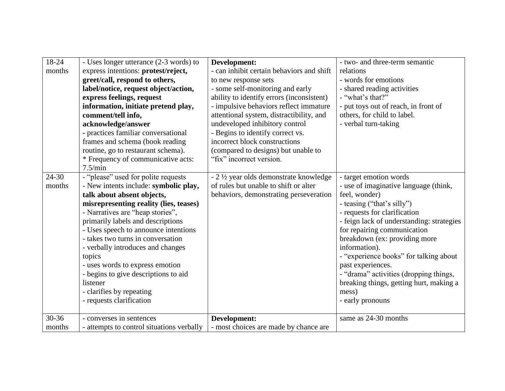| 18-24<br>months | - Uses longer utterance (2-3 words) to<br>express intentions: protest/reject,<br>greet/call, respond to others,<br>label/notice, request object/action,<br>express feelings, request<br>information, initiate pretend play,<br>comment/tell info,<br>acknowledge/answer<br>- practices familiar conversational<br>frames and schema (book reading<br>routine, go to restaurant schema).<br>* Frequency of communicative acts:<br>7.5/min                                                                 | Development:<br>- can inhibit certain behaviors and shift<br>to new response sets<br>- some self-monitoring and early<br>ability to identify errors (inconsistent)<br>- impulsive behaviors reflect immature<br>attentional system, distractibility, and<br>undeveloped inhibitory control<br>- Begins to identify correct vs.<br>incorrect block constructions<br>(compared to designs) but unable to<br>"fix" incorrect version. | - two- and three-term semantic<br>relations<br>- words for emotions<br>- shared reading activities<br>- "what's that?"<br>- put toys out of reach, in front of<br>others, for child to label.<br>- verbal turn-taking                                                                                                                                                                                                                                         |
|-----------------|----------------------------------------------------------------------------------------------------------------------------------------------------------------------------------------------------------------------------------------------------------------------------------------------------------------------------------------------------------------------------------------------------------------------------------------------------------------------------------------------------------|------------------------------------------------------------------------------------------------------------------------------------------------------------------------------------------------------------------------------------------------------------------------------------------------------------------------------------------------------------------------------------------------------------------------------------|---------------------------------------------------------------------------------------------------------------------------------------------------------------------------------------------------------------------------------------------------------------------------------------------------------------------------------------------------------------------------------------------------------------------------------------------------------------|
| 24-30<br>months | - "please" used for polite requests<br>- New intents include: symbolic play,<br>talk about absent objects,<br>misrepresenting reality (lies, teases)<br>- Narratives are "heap stories",<br>primarily labels and descriptions<br>- Uses speech to announce intentions<br>- takes two turns in conversation<br>- verbally introduces and changes<br>topics<br>- uses words to express emotion<br>- begins to give descriptions to aid<br>listener<br>- clarifies by repeating<br>- requests clarification | - 2 ½ year olds demonstrate knowledge<br>of rules but unable to shift or alter<br>behaviors, demonstrating perseveration                                                                                                                                                                                                                                                                                                           | - target emotion words<br>- use of imaginative language (think,<br>feel, wonder)<br>- teasing ("that's silly")<br>- requests for clarification<br>- feign lack of understanding: strategies<br>for repairing communication<br>breakdown (ex: providing more<br>information).<br>- "experience books" for talking about<br>past experiences.<br>- "drama" activities (dropping things,<br>breaking things, getting hurt, making a<br>mess)<br>- early pronouns |
| 30-36<br>months | - converses in sentences<br>- attempts to control situations verbally                                                                                                                                                                                                                                                                                                                                                                                                                                    | Development:<br>- most choices are made by chance are                                                                                                                                                                                                                                                                                                                                                                              | same as 24-30 months                                                                                                                                                                                                                                                                                                                                                                                                                                          |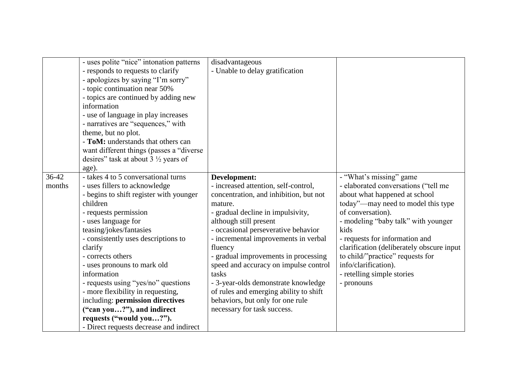|                 | - uses polite "nice" intonation patterns<br>- responds to requests to clarify<br>- apologizes by saying "I'm sorry"<br>- topic continuation near 50%<br>- topics are continued by adding new<br>information<br>- use of language in play increases<br>- narratives are "sequences," with<br>theme, but no plot.<br>- ToM: understands that others can<br>want different things (passes a "diverse"<br>desires" task at about $3\frac{1}{2}$ years of<br>age).                                                                                    | disadvantageous<br>- Unable to delay gratification                                                                                                                                                                                                                                                                                                                                                                                                                                                               |                                                                                                                                                                                                                                                                                                                                                                                                   |
|-----------------|--------------------------------------------------------------------------------------------------------------------------------------------------------------------------------------------------------------------------------------------------------------------------------------------------------------------------------------------------------------------------------------------------------------------------------------------------------------------------------------------------------------------------------------------------|------------------------------------------------------------------------------------------------------------------------------------------------------------------------------------------------------------------------------------------------------------------------------------------------------------------------------------------------------------------------------------------------------------------------------------------------------------------------------------------------------------------|---------------------------------------------------------------------------------------------------------------------------------------------------------------------------------------------------------------------------------------------------------------------------------------------------------------------------------------------------------------------------------------------------|
| 36-42<br>months | - takes 4 to 5 conversational turns<br>- uses fillers to acknowledge<br>- begins to shift register with younger<br>children<br>- requests permission<br>- uses language for<br>teasing/jokes/fantasies<br>- consistently uses descriptions to<br>clarify<br>- corrects others<br>- uses pronouns to mark old<br>information<br>- requests using "yes/no" questions<br>- more flexibility in requesting,<br>including: permission directives<br>("can you?"), and indirect<br>requests ("would you?").<br>- Direct requests decrease and indirect | Development:<br>- increased attention, self-control,<br>concentration, and inhibition, but not<br>mature.<br>- gradual decline in impulsivity,<br>although still present<br>- occasional perseverative behavior<br>- incremental improvements in verbal<br>fluency<br>- gradual improvements in processing<br>speed and accuracy on impulse control<br>tasks<br>- 3-year-olds demonstrate knowledge<br>of rules and emerging ability to shift<br>behaviors, but only for one rule<br>necessary for task success. | - "What's missing" game<br>- elaborated conversations ("tell me<br>about what happened at school<br>today"—may need to model this type<br>of conversation).<br>- modeling "baby talk" with younger<br>kids<br>- requests for information and<br>clarification (deliberately obscure input<br>to child/"practice" requests for<br>info/clarification).<br>- retelling simple stories<br>- pronouns |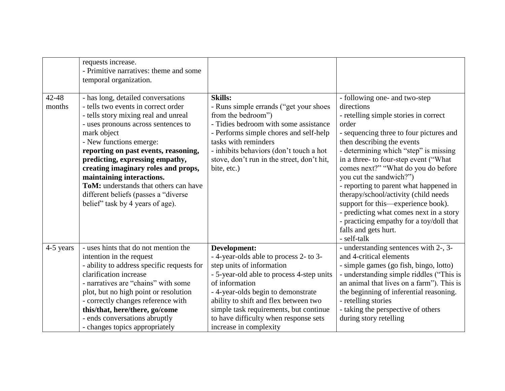| 42-48<br>months | requests increase.<br>- Primitive narratives: theme and some<br>temporal organization.<br>- has long, detailed conversations<br>- tells two events in correct order<br>- tells story mixing real and unreal<br>- uses pronouns across sentences to<br>mark object<br>- New functions emerge:<br>reporting on past events, reasoning,<br>predicting, expressing empathy,<br>creating imaginary roles and props,<br>maintaining interactions. | <b>Skills:</b><br>- Runs simple errands ("get your shoes<br>from the bedroom")<br>- Tidies bedroom with some assistance<br>- Performs simple chores and self-help<br>tasks with reminders<br>- inhibits behaviors (don't touch a hot<br>stove, don't run in the street, don't hit,<br>bite, etc.) | - following one- and two-step<br>directions<br>- retelling simple stories in correct<br>order<br>- sequencing three to four pictures and<br>then describing the events<br>- determining which "step" is missing<br>in a three- to four-step event ("What<br>comes next?" "What do you do before<br>you cut the sandwich?") |
|-----------------|---------------------------------------------------------------------------------------------------------------------------------------------------------------------------------------------------------------------------------------------------------------------------------------------------------------------------------------------------------------------------------------------------------------------------------------------|---------------------------------------------------------------------------------------------------------------------------------------------------------------------------------------------------------------------------------------------------------------------------------------------------|----------------------------------------------------------------------------------------------------------------------------------------------------------------------------------------------------------------------------------------------------------------------------------------------------------------------------|
|                 | ToM: understands that others can have<br>different beliefs (passes a "diverse"<br>belief" task by 4 years of age).                                                                                                                                                                                                                                                                                                                          |                                                                                                                                                                                                                                                                                                   | - reporting to parent what happened in<br>therapy/school/activity (child needs<br>support for this—experience book).<br>- predicting what comes next in a story                                                                                                                                                            |
|                 |                                                                                                                                                                                                                                                                                                                                                                                                                                             |                                                                                                                                                                                                                                                                                                   | - practicing empathy for a toy/doll that<br>falls and gets hurt.<br>- self-talk                                                                                                                                                                                                                                            |
| 4-5 years       | - uses hints that do not mention the<br>intention in the request<br>- ability to address specific requests for<br>clarification increase<br>- narratives are "chains" with some<br>plot, but no high point or resolution                                                                                                                                                                                                                    | Development:<br>- 4-year-olds able to process 2- to 3-<br>step units of information<br>- 5-year-old able to process 4-step units<br>of information<br>- 4-year-olds begin to demonstrate                                                                                                          | - understanding sentences with 2-, 3-<br>and 4-critical elements<br>- simple games (go fish, bingo, lotto)<br>- understanding simple riddles ("This is<br>an animal that lives on a farm"). This is<br>the beginning of inferential reasoning.                                                                             |
|                 | - correctly changes reference with<br>this/that, here/there, go/come<br>- ends conversations abruptly<br>- changes topics appropriately                                                                                                                                                                                                                                                                                                     | ability to shift and flex between two<br>simple task requirements, but continue<br>to have difficulty when response sets<br>increase in complexity                                                                                                                                                | - retelling stories<br>- taking the perspective of others<br>during story retelling                                                                                                                                                                                                                                        |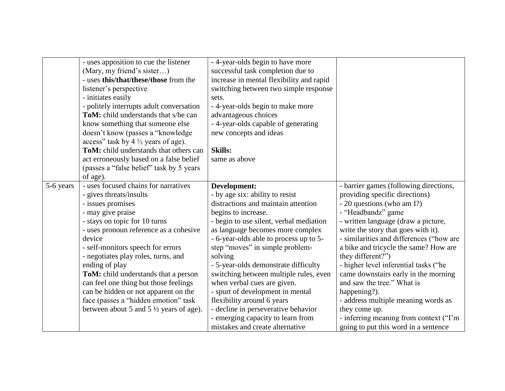|           | - uses apposition to cue the listener              | - 4-year-olds begin to have more         |                                          |
|-----------|----------------------------------------------------|------------------------------------------|------------------------------------------|
|           | (Mary, my friend's sister)                         | successful task completion due to        |                                          |
|           | - uses this/that/these/those from the              | increase in mental flexibility and rapid |                                          |
|           | listener's perspective                             | switching between two simple response    |                                          |
|           | - initiates easily                                 | sets.                                    |                                          |
|           | - politely interrupts adult conversation           | - 4-year-olds begin to make more         |                                          |
|           | <b>ToM:</b> child understands that s/he can        | advantageous choices                     |                                          |
|           | know something that someone else                   | - 4-year-olds capable of generating      |                                          |
|           | doesn't know (passes a "knowledge                  | new concepts and ideas                   |                                          |
|           | access" task by $4\frac{1}{2}$ years of age).      |                                          |                                          |
|           | ToM: child understands that others can             | <b>Skills:</b>                           |                                          |
|           | act erroneously based on a false belief            | same as above                            |                                          |
|           | (passes a "false belief" task by 5 years           |                                          |                                          |
|           | of age).                                           |                                          |                                          |
| 5-6 years | - uses focused chains for narratives               | Development:                             | - barrier games (following directions,   |
|           | - gives threats/insults                            | - by age six: ability to resist          | providing specific directions)           |
|           | - issues promises                                  | distractions and maintain attention      | - 20 questions (who am I?)               |
|           | - may give praise                                  | begins to increase.                      | - "Headbandz" game                       |
|           | - stays on topic for 10 turns                      | - begin to use silent, verbal mediation  | - written language (draw a picture,      |
|           | - uses pronoun reference as a cohesive             | as language becomes more complex         | write the story that goes with it).      |
|           | device                                             | - 6-year-olds able to process up to 5-   | - similarities and differences ("how are |
|           | - self-monitors speech for errors                  | step "moves" in simple problem-          | a bike and tricycle the same? How are    |
|           | - negotiates play roles, turns, and                | solving                                  | they different?")                        |
|           | ending of play                                     | - 5-year-olds demonstrate difficulty     | - higher level inferential tasks ("he    |
|           | ToM: child understands that a person               | switching between multiple rules, even   | came downstairs early in the morning     |
|           | can feel one thing but those feelings              | when verbal cues are given.              | and saw the tree." What is               |
|           | can be hidden or not apparent on the               | - spurt of development in mental         | happening?).                             |
|           | face (passes a "hidden emotion" task               | flexibility around 6 years               | - address multiple meaning words as      |
|           | between about 5 and 5 $\frac{1}{2}$ years of age). | - decline in perseverative behavior      | they come up.                            |
|           |                                                    | - emerging capacity to learn from        | - inferring meaning from context ("I'm   |
|           |                                                    |                                          |                                          |
|           |                                                    | mistakes and create alternative          | going to put this word in a sentence     |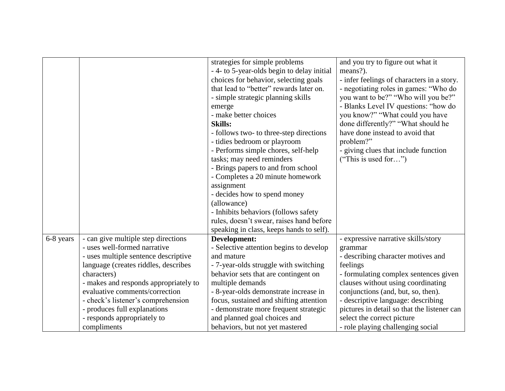|           |                                       | strategies for simple problems             | and you try to figure out what it           |
|-----------|---------------------------------------|--------------------------------------------|---------------------------------------------|
|           |                                       | - 4- to 5-year-olds begin to delay initial | means?).                                    |
|           |                                       | choices for behavior, selecting goals      | - infer feelings of characters in a story.  |
|           |                                       | that lead to "better" rewards later on.    | - negotiating roles in games: "Who do       |
|           |                                       | - simple strategic planning skills         | you want to be?" "Who will you be?"         |
|           |                                       | emerge                                     | - Blanks Level IV questions: "how do        |
|           |                                       | - make better choices                      | you know?" "What could you have             |
|           |                                       | <b>Skills:</b>                             | done differently?" "What should he          |
|           |                                       | - follows two- to three-step directions    | have done instead to avoid that             |
|           |                                       | - tidies bedroom or playroom               | problem?"                                   |
|           |                                       | - Performs simple chores, self-help        | - giving clues that include function        |
|           |                                       | tasks; may need reminders                  | ("This is used for")                        |
|           |                                       | - Brings papers to and from school         |                                             |
|           |                                       | - Completes a 20 minute homework           |                                             |
|           |                                       | assignment                                 |                                             |
|           |                                       | - decides how to spend money               |                                             |
|           |                                       | (allowance)                                |                                             |
|           |                                       | - Inhibits behaviors (follows safety       |                                             |
|           |                                       | rules, doesn't swear, raises hand before   |                                             |
|           |                                       | speaking in class, keeps hands to self).   |                                             |
| 6-8 years | - can give multiple step directions   | Development:                               | - expressive narrative skills/story         |
|           | - uses well-formed narrative          | - Selective attention begins to develop    | grammar                                     |
|           | - uses multiple sentence descriptive  | and mature                                 | - describing character motives and          |
|           | language (creates riddles, describes  | - 7-year-olds struggle with switching      | feelings                                    |
|           | characters)                           | behavior sets that are contingent on       | - formulating complex sentences given       |
|           | - makes and responds appropriately to | multiple demands                           | clauses without using coordinating          |
|           | evaluative comments/correction        | - 8-year-olds demonstrate increase in      | conjunctions (and, but, so, then).          |
|           | - check's listener's comprehension    | focus, sustained and shifting attention    | - descriptive language: describing          |
|           | - produces full explanations          | - demonstrate more frequent strategic      | pictures in detail so that the listener can |
|           | - responds appropriately to           | and planned goal choices and               | select the correct picture                  |
|           | compliments                           | behaviors, but not yet mastered            | - role playing challenging social           |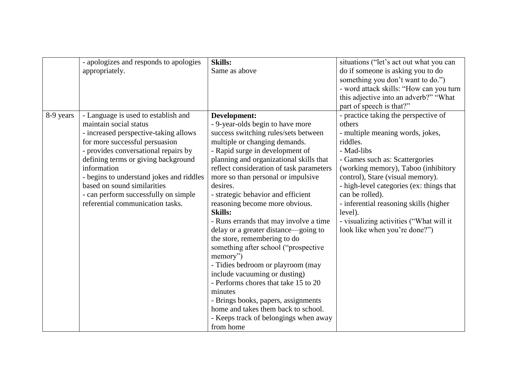|           | - apologizes and responds to apologies   | <b>Skills:</b>                           | situations ("let's act out what you can  |
|-----------|------------------------------------------|------------------------------------------|------------------------------------------|
|           | appropriately.                           | Same as above                            | do if someone is asking you to do        |
|           |                                          |                                          | something you don't want to do.")        |
|           |                                          |                                          | - word attack skills: "How can you turn  |
|           |                                          |                                          | this adjective into an adverb?" "What    |
|           |                                          |                                          | part of speech is that?"                 |
| 8-9 years | - Language is used to establish and      | Development:                             | - practice taking the perspective of     |
|           | maintain social status                   | - 9-year-olds begin to have more         | others                                   |
|           | - increased perspective-taking allows    | success switching rules/sets between     | - multiple meaning words, jokes,         |
|           | for more successful persuasion           | multiple or changing demands.            | riddles.                                 |
|           | - provides conversational repairs by     | - Rapid surge in development of          | - Mad-libs                               |
|           | defining terms or giving background      | planning and organizational skills that  | - Games such as: Scattergories           |
|           | information                              | reflect consideration of task parameters | (working memory), Taboo (inhibitory      |
|           | - begins to understand jokes and riddles | more so than personal or impulsive       | control), Stare (visual memory).         |
|           | based on sound similarities              | desires.                                 | - high-level categories (ex: things that |
|           | - can perform successfully on simple     | - strategic behavior and efficient       | can be rolled).                          |
|           | referential communication tasks.         | reasoning become more obvious.           | - inferential reasoning skills (higher   |
|           |                                          | <b>Skills:</b>                           | level).                                  |
|           |                                          | - Runs errands that may involve a time   | - visualizing activities ("What will it  |
|           |                                          | delay or a greater distance—going to     | look like when you're done?")            |
|           |                                          | the store, remembering to do             |                                          |
|           |                                          | something after school ("prospective     |                                          |
|           |                                          | memory")                                 |                                          |
|           |                                          | - Tidies bedroom or playroom (may        |                                          |
|           |                                          | include vacuuming or dusting)            |                                          |
|           |                                          | - Performs chores that take 15 to 20     |                                          |
|           |                                          | minutes                                  |                                          |
|           |                                          | - Brings books, papers, assignments      |                                          |
|           |                                          | home and takes them back to school.      |                                          |
|           |                                          | - Keeps track of belongings when away    |                                          |
|           |                                          | from home                                |                                          |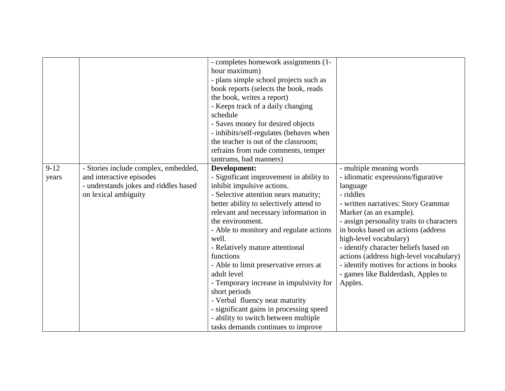|                 |                                                                                                                                   | - completes homework assignments (1-<br>hour maximum)<br>- plans simple school projects such as<br>book reports (selects the book, reads<br>the book, writes a report)<br>- Keeps track of a daily changing<br>schedule<br>- Saves money for desired objects<br>- inhibits/self-regulates (behaves when<br>the teacher is out of the classroom;<br>refrains from rude comments, temper<br>tantrums, bad manners)                                                                                                                                                                                                           |                                                                                                                                                                                                                                                                                                                                                                                                                                                        |
|-----------------|-----------------------------------------------------------------------------------------------------------------------------------|----------------------------------------------------------------------------------------------------------------------------------------------------------------------------------------------------------------------------------------------------------------------------------------------------------------------------------------------------------------------------------------------------------------------------------------------------------------------------------------------------------------------------------------------------------------------------------------------------------------------------|--------------------------------------------------------------------------------------------------------------------------------------------------------------------------------------------------------------------------------------------------------------------------------------------------------------------------------------------------------------------------------------------------------------------------------------------------------|
| $9-12$<br>years | - Stories include complex, embedded,<br>and interactive episodes<br>- understands jokes and riddles based<br>on lexical ambiguity | Development:<br>- Significant improvement in ability to<br>inhibit impulsive actions.<br>- Selective attention nears maturity;<br>better ability to selectively attend to<br>relevant and necessary information in<br>the environment.<br>- Able to monitory and regulate actions<br>well.<br>- Relatively mature attentional<br>functions<br>- Able to limit preservative errors at<br>adult level<br>- Temporary increase in impulsivity for<br>short periods<br>- Verbal fluency near maturity<br>- significant gains in processing speed<br>- ability to switch between multiple<br>tasks demands continues to improve | - multiple meaning words<br>- idiomatic expressions/figurative<br>language<br>- riddles<br>- written narratives: Story Grammar<br>Marker (as an example).<br>- assign personality traits to characters<br>in books based on actions (address<br>high-level vocabulary)<br>- identify character beliefs based on<br>actions (address high-level vocabulary)<br>- identify motives for actions in books<br>- games like Balderdash, Apples to<br>Apples. |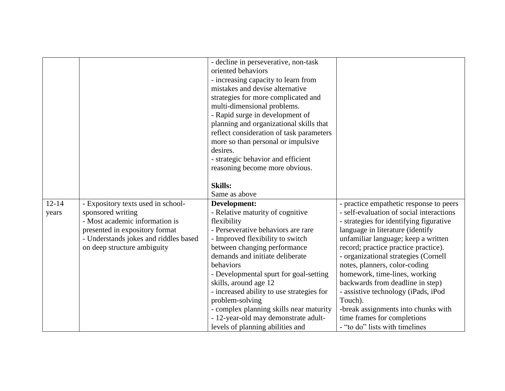|           |                                       | - decline in perseverative, non-task      |                                          |
|-----------|---------------------------------------|-------------------------------------------|------------------------------------------|
|           |                                       | oriented behaviors                        |                                          |
|           |                                       |                                           |                                          |
|           |                                       | - increasing capacity to learn from       |                                          |
|           |                                       | mistakes and devise alternative           |                                          |
|           |                                       | strategies for more complicated and       |                                          |
|           |                                       | multi-dimensional problems.               |                                          |
|           |                                       | - Rapid surge in development of           |                                          |
|           |                                       | planning and organizational skills that   |                                          |
|           |                                       | reflect consideration of task parameters  |                                          |
|           |                                       | more so than personal or impulsive        |                                          |
|           |                                       | desires.                                  |                                          |
|           |                                       | - strategic behavior and efficient        |                                          |
|           |                                       | reasoning become more obvious.            |                                          |
|           |                                       |                                           |                                          |
|           |                                       | <b>Skills:</b>                            |                                          |
|           |                                       | Same as above                             |                                          |
| $12 - 14$ | - Expository texts used in school-    | Development:                              | - practice empathetic response to peers  |
| years     | sponsored writing                     | - Relative maturity of cognitive          | - self-evaluation of social interactions |
|           | - Most academic information is        | flexibility                               | - strategies for identifying figurative  |
|           | presented in expository format        | - Perseverative behaviors are rare        | language in literature (identify         |
|           | - Understands jokes and riddles based | - Improved flexibility to switch          | unfamiliar language; keep a written      |
|           | on deep structure ambiguity           | between changing performance              | record; practice practice practice).     |
|           |                                       | demands and initiate deliberate           | - organizational strategies (Cornell     |
|           |                                       | behaviors                                 | notes, planners, color-coding            |
|           |                                       | - Developmental spurt for goal-setting    | homework, time-lines, working            |
|           |                                       | skills, around age 12                     | backwards from deadline in step)         |
|           |                                       | - increased ability to use strategies for | - assistive technology (iPads, iPod      |
|           |                                       | problem-solving                           | Touch).                                  |
|           |                                       | - complex planning skills near maturity   | -break assignments into chunks with      |
|           |                                       | - 12-year-old may demonstrate adult-      | time frames for completions              |
|           |                                       | levels of planning abilities and          | - "to do" lists with timelines           |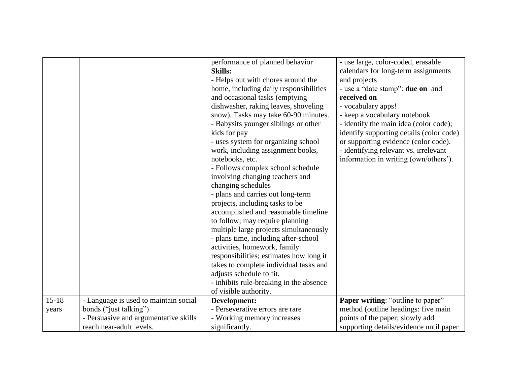|         |                                       | performance of planned behavior<br><b>Skills:</b><br>- Helps out with chores around the<br>home, including daily responsibilities<br>and occasional tasks (emptying<br>dishwasher, raking leaves, shoveling<br>snow). Tasks may take 60-90 minutes.<br>- Babysits younger siblings or other<br>kids for pay<br>- uses system for organizing school<br>work, including assignment books,<br>notebooks, etc.<br>- Follows complex school schedule<br>involving changing teachers and<br>changing schedules<br>- plans and carries out long-term<br>projects, including tasks to be<br>accomplished and reasonable timeline<br>to follow; may require planning<br>multiple large projects simultaneously<br>- plans time, including after-school<br>activities, homework, family<br>responsibilities; estimates how long it<br>takes to complete individual tasks and | - use large, color-coded, erasable<br>calendars for long-term assignments<br>and projects<br>- use a "date stamp": <b>due on</b> and<br>received on<br>- vocabulary apps!<br>- keep a vocabulary notebook<br>- identify the main idea (color code);<br>identify supporting details (color code)<br>or supporting evidence (color code).<br>- identifying relevant vs. irrelevant<br>information in writing (own/others'). |
|---------|---------------------------------------|--------------------------------------------------------------------------------------------------------------------------------------------------------------------------------------------------------------------------------------------------------------------------------------------------------------------------------------------------------------------------------------------------------------------------------------------------------------------------------------------------------------------------------------------------------------------------------------------------------------------------------------------------------------------------------------------------------------------------------------------------------------------------------------------------------------------------------------------------------------------|---------------------------------------------------------------------------------------------------------------------------------------------------------------------------------------------------------------------------------------------------------------------------------------------------------------------------------------------------------------------------------------------------------------------------|
|         |                                       | adjusts schedule to fit.                                                                                                                                                                                                                                                                                                                                                                                                                                                                                                                                                                                                                                                                                                                                                                                                                                           |                                                                                                                                                                                                                                                                                                                                                                                                                           |
|         |                                       | - inhibits rule-breaking in the absence<br>of visible authority.                                                                                                                                                                                                                                                                                                                                                                                                                                                                                                                                                                                                                                                                                                                                                                                                   |                                                                                                                                                                                                                                                                                                                                                                                                                           |
| $15-18$ | - Language is used to maintain social | Development:                                                                                                                                                                                                                                                                                                                                                                                                                                                                                                                                                                                                                                                                                                                                                                                                                                                       | <b>Paper writing: "outline to paper"</b>                                                                                                                                                                                                                                                                                                                                                                                  |
| years   | bonds ("just talking")                | - Perseverative errors are rare                                                                                                                                                                                                                                                                                                                                                                                                                                                                                                                                                                                                                                                                                                                                                                                                                                    | method (outline headings: five main                                                                                                                                                                                                                                                                                                                                                                                       |
|         | - Persuasive and argumentative skills | - Working memory increases                                                                                                                                                                                                                                                                                                                                                                                                                                                                                                                                                                                                                                                                                                                                                                                                                                         | points of the paper; slowly add                                                                                                                                                                                                                                                                                                                                                                                           |
|         | reach near-adult levels.              | significantly.                                                                                                                                                                                                                                                                                                                                                                                                                                                                                                                                                                                                                                                                                                                                                                                                                                                     | supporting details/evidence until paper                                                                                                                                                                                                                                                                                                                                                                                   |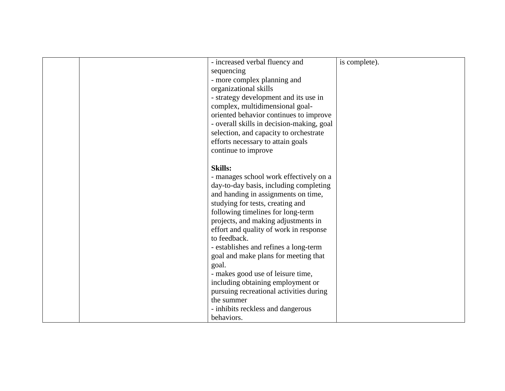| - increased verbal fluency and<br>sequencing<br>- more complex planning and<br>organizational skills<br>- strategy development and its use in<br>complex, multidimensional goal-<br>oriented behavior continues to improve<br>- overall skills in decision-making, goal                                                                                                                                                                                                                 | is complete). |
|-----------------------------------------------------------------------------------------------------------------------------------------------------------------------------------------------------------------------------------------------------------------------------------------------------------------------------------------------------------------------------------------------------------------------------------------------------------------------------------------|---------------|
| selection, and capacity to orchestrate<br>efforts necessary to attain goals<br>continue to improve                                                                                                                                                                                                                                                                                                                                                                                      |               |
| <b>Skills:</b><br>- manages school work effectively on a<br>day-to-day basis, including completing<br>and handing in assignments on time,<br>studying for tests, creating and<br>following timelines for long-term<br>projects, and making adjustments in<br>effort and quality of work in response<br>to feedback.<br>- establishes and refines a long-term<br>goal and make plans for meeting that<br>goal.<br>- makes good use of leisure time,<br>including obtaining employment or |               |
| pursuing recreational activities during<br>the summer<br>- inhibits reckless and dangerous<br>behaviors.                                                                                                                                                                                                                                                                                                                                                                                |               |